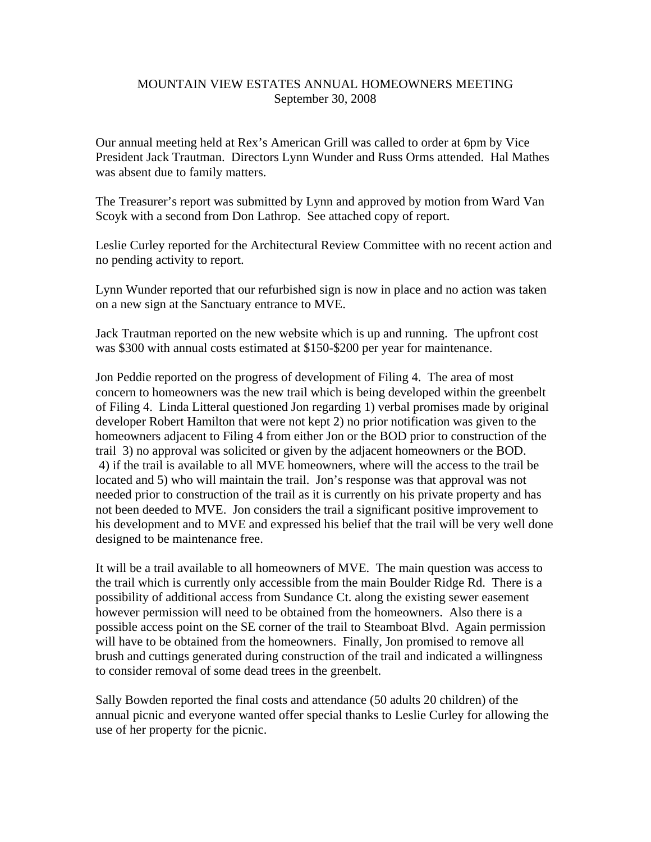## MOUNTAIN VIEW ESTATES ANNUAL HOMEOWNERS MEETING September 30, 2008

Our annual meeting held at Rex's American Grill was called to order at 6pm by Vice President Jack Trautman. Directors Lynn Wunder and Russ Orms attended. Hal Mathes was absent due to family matters.

The Treasurer's report was submitted by Lynn and approved by motion from Ward Van Scoyk with a second from Don Lathrop. See attached copy of report.

Leslie Curley reported for the Architectural Review Committee with no recent action and no pending activity to report.

Lynn Wunder reported that our refurbished sign is now in place and no action was taken on a new sign at the Sanctuary entrance to MVE.

Jack Trautman reported on the new website which is up and running. The upfront cost was \$300 with annual costs estimated at \$150-\$200 per year for maintenance.

Jon Peddie reported on the progress of development of Filing 4. The area of most concern to homeowners was the new trail which is being developed within the greenbelt of Filing 4. Linda Litteral questioned Jon regarding 1) verbal promises made by original developer Robert Hamilton that were not kept 2) no prior notification was given to the homeowners adjacent to Filing 4 from either Jon or the BOD prior to construction of the trail 3) no approval was solicited or given by the adjacent homeowners or the BOD. 4) if the trail is available to all MVE homeowners, where will the access to the trail be located and 5) who will maintain the trail. Jon's response was that approval was not needed prior to construction of the trail as it is currently on his private property and has not been deeded to MVE. Jon considers the trail a significant positive improvement to his development and to MVE and expressed his belief that the trail will be very well done designed to be maintenance free.

It will be a trail available to all homeowners of MVE. The main question was access to the trail which is currently only accessible from the main Boulder Ridge Rd. There is a possibility of additional access from Sundance Ct. along the existing sewer easement however permission will need to be obtained from the homeowners. Also there is a possible access point on the SE corner of the trail to Steamboat Blvd. Again permission will have to be obtained from the homeowners. Finally, Jon promised to remove all brush and cuttings generated during construction of the trail and indicated a willingness to consider removal of some dead trees in the greenbelt.

Sally Bowden reported the final costs and attendance (50 adults 20 children) of the annual picnic and everyone wanted offer special thanks to Leslie Curley for allowing the use of her property for the picnic.